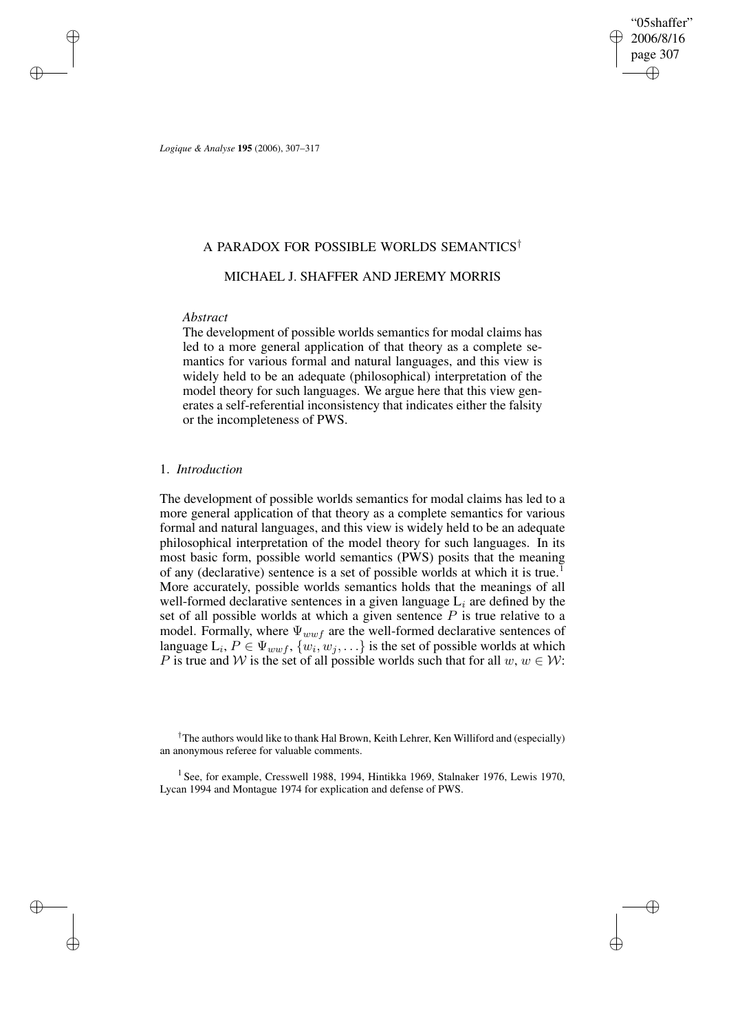"05shaffer" 2006/8/16 page 307 ✐ ✐

✐

✐

*Logique & Analyse* **195** (2006), 307–317

### A PARADOX FOR POSSIBLE WORLDS SEMANTICS†

## MICHAEL J. SHAFFER AND JEREMY MORRIS

## *Abstract*

✐

✐

✐

✐

The development of possible worlds semantics for modal claims has led to a more general application of that theory as a complete semantics for various formal and natural languages, and this view is widely held to be an adequate (philosophical) interpretation of the model theory for such languages. We argue here that this view generates a self-referential inconsistency that indicates either the falsity or the incompleteness of PWS.

### 1. *Introduction*

The development of possible worlds semantics for modal claims has led to a more general application of that theory as a complete semantics for various formal and natural languages, and this view is widely held to be an adequate philosophical interpretation of the model theory for such languages. In its most basic form, possible world semantics (PWS) posits that the meaning of any (declarative) sentence is a set of possible worlds at which it is true.<sup>1</sup> More accurately, possible worlds semantics holds that the meanings of all well-formed declarative sentences in a given language  $L_i$  are defined by the set of all possible worlds at which a given sentence  $P$  is true relative to a model. Formally, where  $\Psi_{wwf}$  are the well-formed declarative sentences of language  $\mathcal{L}_i, P \in \Psi_{wwf}, \{w_i, w_j, \ldots\}$  is the set of possible worlds at which P is true and W is the set of all possible worlds such that for all  $w, w \in W$ :

†The authors would like to thank Hal Brown, Keith Lehrer, Ken Williford and (especially) an anonymous referee for valuable comments.

<sup>1</sup> See, for example, Cresswell 1988, 1994, Hintikka 1969, Stalnaker 1976, Lewis 1970, Lycan 1994 and Montague 1974 for explication and defense of PWS.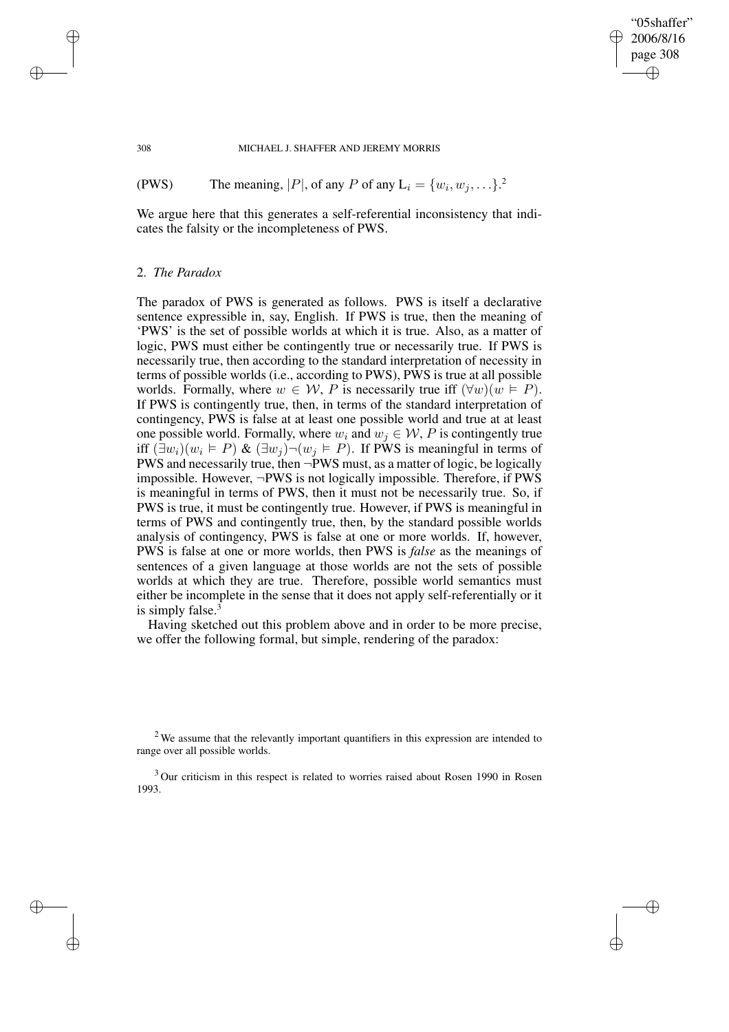### "05shaffer" 2006/8/16 page 308 ✐ ✐

✐

✐

#### 308 MICHAEL J. SHAFFER AND JEREMY MORRIS

(PWS) The meaning, |P|, of any P of any  $L_i = \{w_i, w_j, ...\}$ .<sup>2</sup>

We argue here that this generates a self-referential inconsistency that indicates the falsity or the incompleteness of PWS.

### 2. *The Paradox*

The paradox of PWS is generated as follows. PWS is itself a declarative sentence expressible in, say, English. If PWS is true, then the meaning of 'PWS' is the set of possible worlds at which it is true. Also, as a matter of logic, PWS must either be contingently true or necessarily true. If PWS is necessarily true, then according to the standard interpretation of necessity in terms of possible worlds (i.e., according to PWS), PWS is true at all possible worlds. Formally, where  $w \in W$ , P is necessarily true iff  $(\forall w)(w \models P)$ . If PWS is contingently true, then, in terms of the standard interpretation of contingency, PWS is false at at least one possible world and true at at least one possible world. Formally, where  $w_i$  and  $w_j \in \mathcal{W}$ , P is contingently true iff  $(\exists w_i)(w_i \in P)$  &  $(\exists w_j) \neg (w_j \in P)$ . If PWS is meaningful in terms of PWS and necessarily true, then ¬PWS must, as a matter of logic, be logically impossible. However, ¬PWS is not logically impossible. Therefore, if PWS is meaningful in terms of PWS, then it must not be necessarily true. So, if PWS is true, it must be contingently true. However, if PWS is meaningful in terms of PWS and contingently true, then, by the standard possible worlds analysis of contingency, PWS is false at one or more worlds. If, however, PWS is false at one or more worlds, then PWS is *false* as the meanings of sentences of a given language at those worlds are not the sets of possible worlds at which they are true. Therefore, possible world semantics must either be incomplete in the sense that it does not apply self-referentially or it is simply false.<sup>3</sup>

Having sketched out this problem above and in order to be more precise, we offer the following formal, but simple, rendering of the paradox:

 $2$  We assume that the relevantly important quantifiers in this expression are intended to range over all possible worlds.

<sup>3</sup> Our criticism in this respect is related to worries raised about Rosen 1990 in Rosen 1993.

✐

✐

✐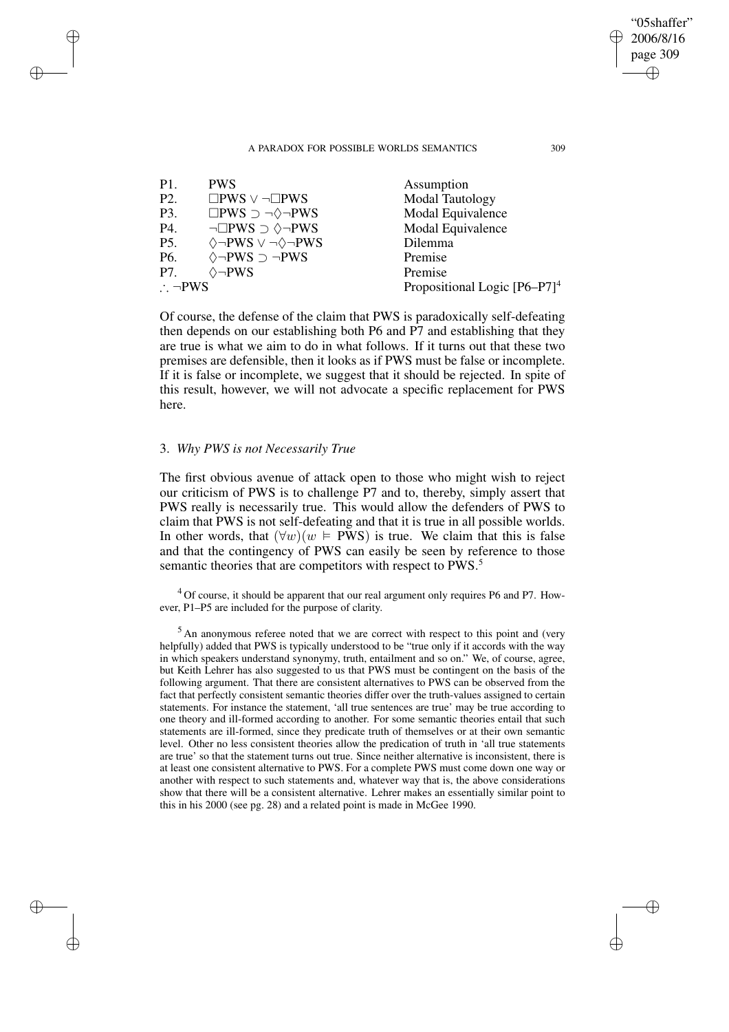| P <sub>1</sub>        | <b>PWS</b>                                      | Assumption                      |
|-----------------------|-------------------------------------------------|---------------------------------|
| P <sub>2</sub> .      | $\square$ PWS $\vee \neg \square$ PWS           | <b>Modal Tautology</b>          |
| P3.                   | $\square PWS \supset \neg \Diamond \neg PWS$    | Modal Equivalence               |
| P4.                   | $\neg \Box PWS \supset \Diamond \neg PWS$       | Modal Equivalence               |
| <b>P5.</b>            | $\Diamond \neg PWS \lor \neg \Diamond \neg PWS$ | Dilemma                         |
| P6.                   | $\Diamond \neg PWS \supset \neg PWS$            | Premise                         |
| P7.                   | $\Diamond \neg PWS$                             | Premise                         |
| $\therefore \neg PWS$ |                                                 | Propositional Logic $[P6-P7]^4$ |

Of course, the defense of the claim that PWS is paradoxically self-defeating then depends on our establishing both P6 and P7 and establishing that they are true is what we aim to do in what follows. If it turns out that these two premises are defensible, then it looks as if PWS must be false or incomplete. If it is false or incomplete, we suggest that it should be rejected. In spite of this result, however, we will not advocate a specific replacement for PWS here.

## 3. *Why PWS is not Necessarily True*

✐

✐

✐

✐

The first obvious avenue of attack open to those who might wish to reject our criticism of PWS is to challenge P7 and to, thereby, simply assert that PWS really is necessarily true. This would allow the defenders of PWS to claim that PWS is not self-defeating and that it is true in all possible worlds. In other words, that  $(\forall w)(w \models PWS)$  is true. We claim that this is false and that the contingency of PWS can easily be seen by reference to those semantic theories that are competitors with respect to PWS.<sup>5</sup>

 $4$  Of course, it should be apparent that our real argument only requires P6 and P7. However, P1–P5 are included for the purpose of clarity.

<sup>5</sup> An anonymous referee noted that we are correct with respect to this point and (very helpfully) added that PWS is typically understood to be "true only if it accords with the way in which speakers understand synonymy, truth, entailment and so on." We, of course, agree, but Keith Lehrer has also suggested to us that PWS must be contingent on the basis of the following argument. That there are consistent alternatives to PWS can be observed from the fact that perfectly consistent semantic theories differ over the truth-values assigned to certain statements. For instance the statement, 'all true sentences are true' may be true according to one theory and ill-formed according to another. For some semantic theories entail that such statements are ill-formed, since they predicate truth of themselves or at their own semantic level. Other no less consistent theories allow the predication of truth in 'all true statements are true' so that the statement turns out true. Since neither alternative is inconsistent, there is at least one consistent alternative to PWS. For a complete PWS must come down one way or another with respect to such statements and, whatever way that is, the above considerations show that there will be a consistent alternative. Lehrer makes an essentially similar point to this in his 2000 (see pg. 28) and a related point is made in McGee 1990.

"05shaffer" 2006/8/16 page 309

✐

✐

✐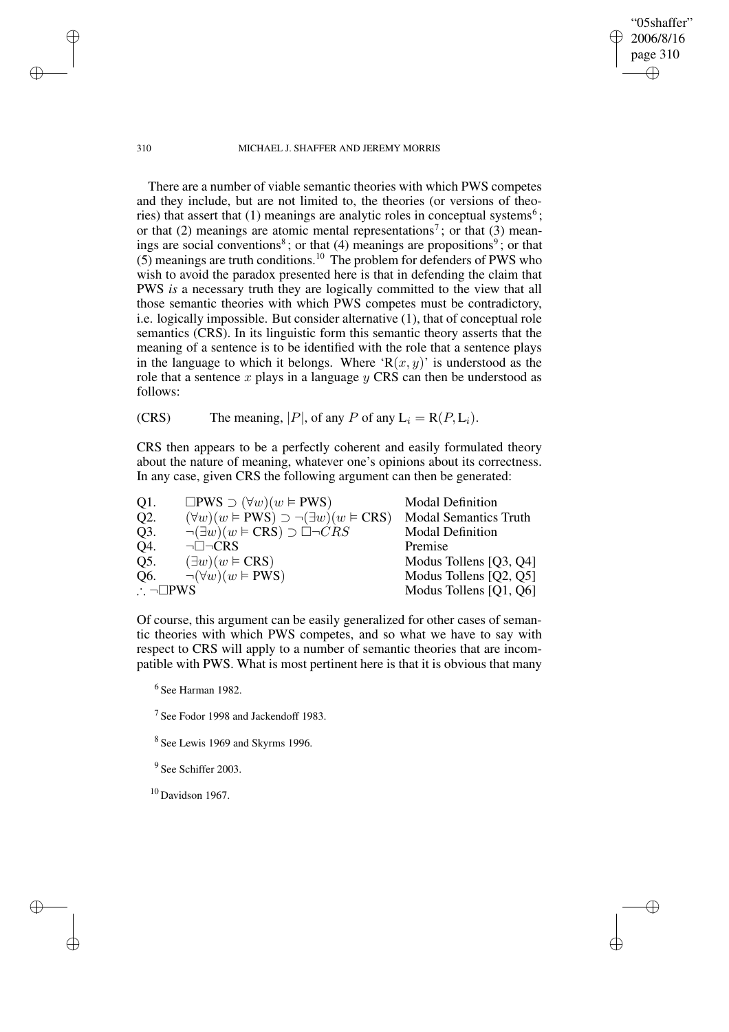310 MICHAEL J. SHAFFER AND JEREMY MORRIS

"05shaffer" 2006/8/16 page 310

✐

✐

✐

✐

There are a number of viable semantic theories with which PWS competes and they include, but are not limited to, the theories (or versions of theories) that assert that  $(1)$  meanings are analytic roles in conceptual systems<sup>6</sup>; or that (2) meanings are atomic mental representations<sup>7</sup>; or that (3) meanings are social conventions<sup>8</sup>; or that  $(4)$  meanings are propositions<sup>9</sup>; or that  $(5)$  meanings are truth conditions.<sup>10</sup> The problem for defenders of PWS who wish to avoid the paradox presented here is that in defending the claim that PWS *is* a necessary truth they are logically committed to the view that all those semantic theories with which PWS competes must be contradictory, i.e. logically impossible. But consider alternative (1), that of conceptual role semantics (CRS). In its linguistic form this semantic theory asserts that the meaning of a sentence is to be identified with the role that a sentence plays in the language to which it belongs. Where ' $R(x, y)$ ' is understood as the role that a sentence  $x$  plays in a language  $y$  CRS can then be understood as follows:

(CRS) The meaning, |P|, of any P of any  $L_i = R(P, L_i)$ .

CRS then appears to be a perfectly coherent and easily formulated theory about the nature of meaning, whatever one's opinions about its correctness. In any case, given CRS the following argument can then be generated:

| Q1.                        | $\square PWS \supset (\forall w)(w \vDash PWS)$              | <b>Modal Definition</b>      |
|----------------------------|--------------------------------------------------------------|------------------------------|
| Q <sub>2</sub> .           | $(\forall w)(w \in PWS) \supset \neg (\exists w)(w \in CRS)$ | <b>Modal Semantics Truth</b> |
| Q3.                        | $\neg(\exists w)(w \in \text{CRS}) \supset \Box \neg CRS$    | <b>Modal Definition</b>      |
| Q4.                        | $\neg \Box \neg CRS$                                         | Premise                      |
| Q5.                        | $(\exists w)(w \in \text{CRS})$                              | Modus Tollens [Q3, Q4]       |
| Q6.                        | $\neg(\forall w)(w \vDash PWS)$                              | Modus Tollens [Q2, Q5]       |
| $\therefore \neg \Box PWS$ |                                                              | Modus Tollens [Q1, Q6]       |

Of course, this argument can be easily generalized for other cases of semantic theories with which PWS competes, and so what we have to say with respect to CRS will apply to a number of semantic theories that are incompatible with PWS. What is most pertinent here is that it is obvious that many

6 See Harman 1982.

<sup>7</sup> See Fodor 1998 and Jackendoff 1983.

<sup>8</sup> See Lewis 1969 and Skyrms 1996.

<sup>9</sup> See Schiffer 2003.

 $10$  Davidson 1967.

✐

✐

✐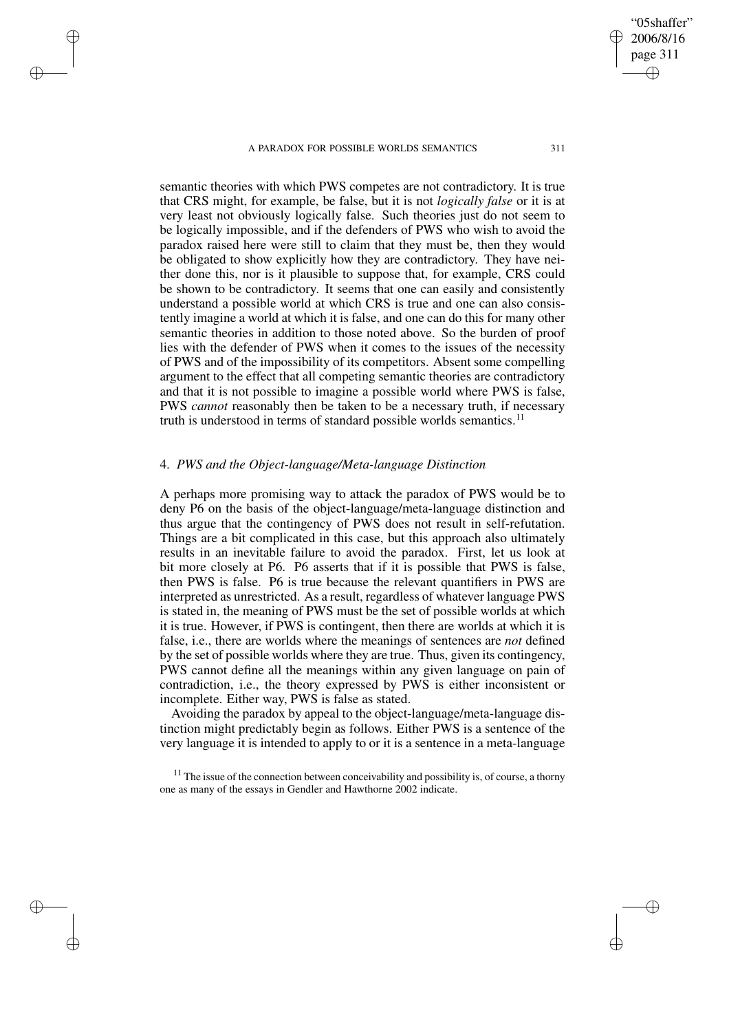✐

✐

✐

✐

semantic theories with which PWS competes are not contradictory. It is true that CRS might, for example, be false, but it is not *logically false* or it is at very least not obviously logically false. Such theories just do not seem to be logically impossible, and if the defenders of PWS who wish to avoid the paradox raised here were still to claim that they must be, then they would be obligated to show explicitly how they are contradictory. They have neither done this, nor is it plausible to suppose that, for example, CRS could be shown to be contradictory. It seems that one can easily and consistently understand a possible world at which CRS is true and one can also consistently imagine a world at which it is false, and one can do this for many other semantic theories in addition to those noted above. So the burden of proof lies with the defender of PWS when it comes to the issues of the necessity of PWS and of the impossibility of its competitors. Absent some compelling argument to the effect that all competing semantic theories are contradictory and that it is not possible to imagine a possible world where PWS is false, PWS *cannot* reasonably then be taken to be a necessary truth, if necessary truth is understood in terms of standard possible worlds semantics.<sup>11</sup>

## 4. *PWS and the Object-language/Meta-language Distinction*

A perhaps more promising way to attack the paradox of PWS would be to deny P6 on the basis of the object-language/meta-language distinction and thus argue that the contingency of PWS does not result in self-refutation. Things are a bit complicated in this case, but this approach also ultimately results in an inevitable failure to avoid the paradox. First, let us look at bit more closely at P6. P6 asserts that if it is possible that PWS is false, then PWS is false. P6 is true because the relevant quantifiers in PWS are interpreted as unrestricted. As a result, regardless of whatever language PWS is stated in, the meaning of PWS must be the set of possible worlds at which it is true. However, if PWS is contingent, then there are worlds at which it is false, i.e., there are worlds where the meanings of sentences are *not* defined by the set of possible worlds where they are true. Thus, given its contingency, PWS cannot define all the meanings within any given language on pain of contradiction, i.e., the theory expressed by PWS is either inconsistent or incomplete. Either way, PWS is false as stated.

Avoiding the paradox by appeal to the object-language/meta-language distinction might predictably begin as follows. Either PWS is a sentence of the very language it is intended to apply to or it is a sentence in a meta-language

"05shaffer" 2006/8/16 page 311

✐

✐

✐

 $11$  The issue of the connection between conceivability and possibility is, of course, a thorny one as many of the essays in Gendler and Hawthorne 2002 indicate.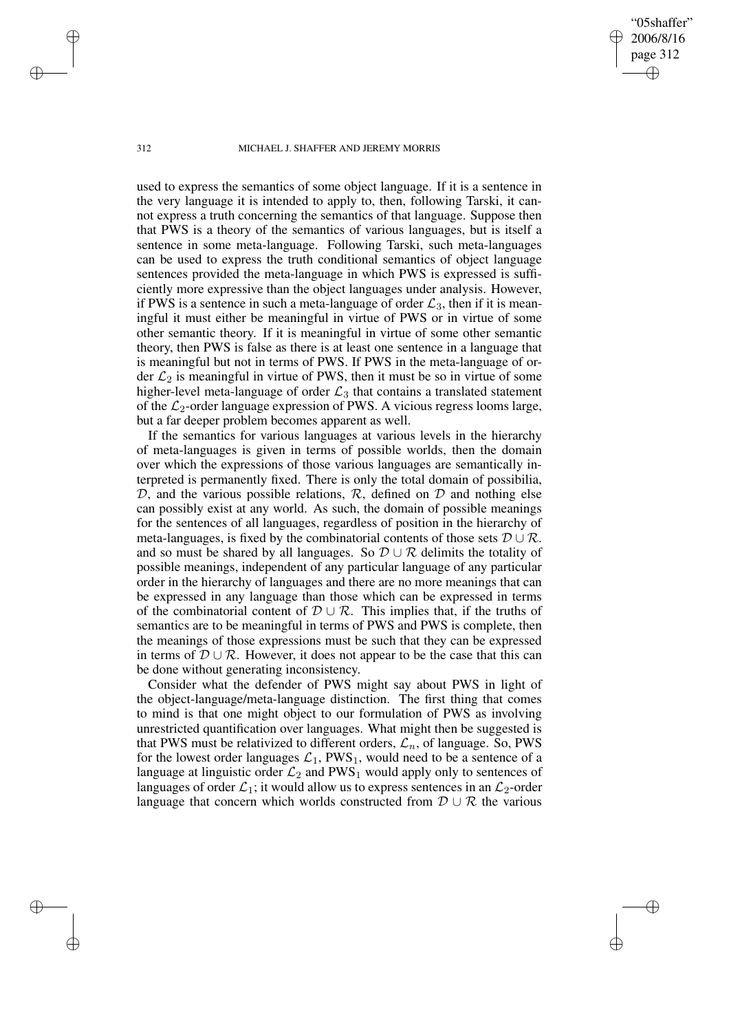#### 312 MICHAEL J. SHAFFER AND JEREMY MORRIS

"05shaffer" 2006/8/16 page 312

✐

✐

✐

✐

used to express the semantics of some object language. If it is a sentence in the very language it is intended to apply to, then, following Tarski, it cannot express a truth concerning the semantics of that language. Suppose then that PWS is a theory of the semantics of various languages, but is itself a sentence in some meta-language. Following Tarski, such meta-languages can be used to express the truth conditional semantics of object language sentences provided the meta-language in which PWS is expressed is sufficiently more expressive than the object languages under analysis. However, if PWS is a sentence in such a meta-language of order  $\mathcal{L}_3$ , then if it is meaningful it must either be meaningful in virtue of PWS or in virtue of some other semantic theory. If it is meaningful in virtue of some other semantic theory, then PWS is false as there is at least one sentence in a language that is meaningful but not in terms of PWS. If PWS in the meta-language of order  $\mathcal{L}_2$  is meaningful in virtue of PWS, then it must be so in virtue of some higher-level meta-language of order  $\mathcal{L}_3$  that contains a translated statement of the  $\mathcal{L}_2$ -order language expression of PWS. A vicious regress looms large, but a far deeper problem becomes apparent as well.

If the semantics for various languages at various levels in the hierarchy of meta-languages is given in terms of possible worlds, then the domain over which the expressions of those various languages are semantically interpreted is permanently fixed. There is only the total domain of possibilia,  $D$ , and the various possible relations,  $R$ , defined on  $D$  and nothing else can possibly exist at any world. As such, the domain of possible meanings for the sentences of all languages, regardless of position in the hierarchy of meta-languages, is fixed by the combinatorial contents of those sets  $D \cup R$ . and so must be shared by all languages. So  $\mathcal{D} \cup \mathcal{R}$  delimits the totality of possible meanings, independent of any particular language of any particular order in the hierarchy of languages and there are no more meanings that can be expressed in any language than those which can be expressed in terms of the combinatorial content of  $\mathcal{D} \cup \mathcal{R}$ . This implies that, if the truths of semantics are to be meaningful in terms of PWS and PWS is complete, then the meanings of those expressions must be such that they can be expressed in terms of  $\mathcal{D} \cup \mathcal{R}$ . However, it does not appear to be the case that this can be done without generating inconsistency.

Consider what the defender of PWS might say about PWS in light of the object-language/meta-language distinction. The first thing that comes to mind is that one might object to our formulation of PWS as involving unrestricted quantification over languages. What might then be suggested is that PWS must be relativized to different orders,  $\mathcal{L}_n$ , of language. So, PWS for the lowest order languages  $\mathcal{L}_1$ , PWS<sub>1</sub>, would need to be a sentence of a language at linguistic order  $\mathcal{L}_2$  and PWS<sub>1</sub> would apply only to sentences of languages of order  $\mathcal{L}_1$ ; it would allow us to express sentences in an  $\mathcal{L}_2$ -order language that concern which worlds constructed from  $\mathcal{D} \cup \mathcal{R}$  the various

✐

✐

✐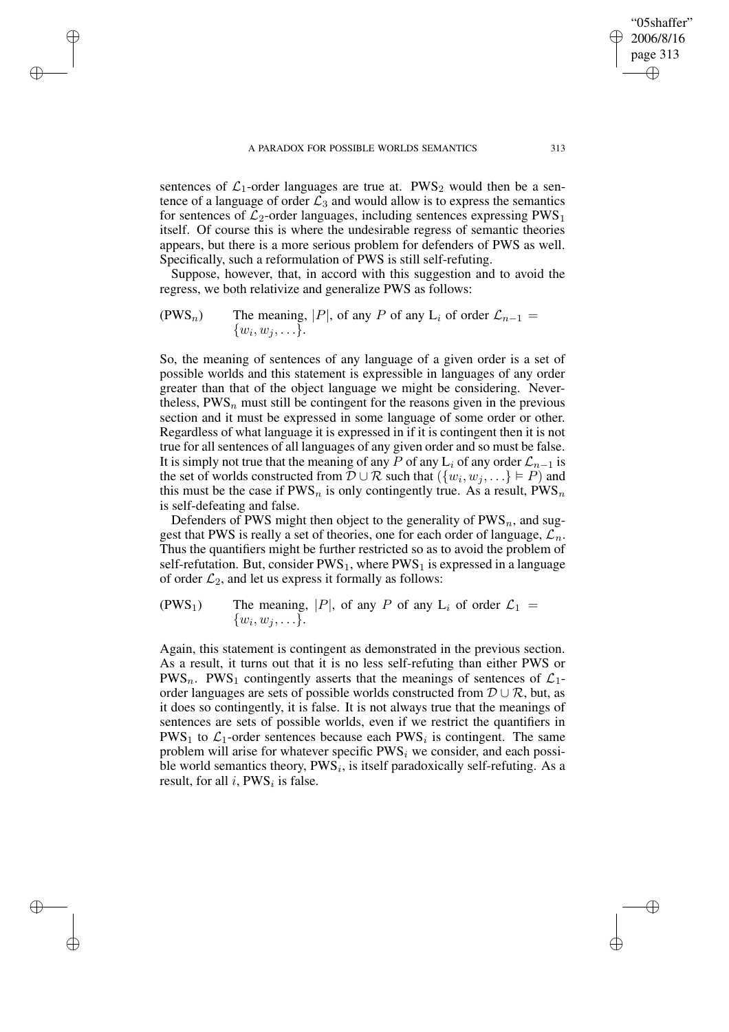✐

✐

✐

✐

sentences of  $\mathcal{L}_1$ -order languages are true at. PWS<sub>2</sub> would then be a sentence of a language of order  $\mathcal{L}_3$  and would allow is to express the semantics for sentences of  $\mathcal{L}_2$ -order languages, including sentences expressing PWS<sub>1</sub> itself. Of course this is where the undesirable regress of semantic theories appears, but there is a more serious problem for defenders of PWS as well. Specifically, such a reformulation of PWS is still self-refuting.

Suppose, however, that, in accord with this suggestion and to avoid the regress, we both relativize and generalize PWS as follows:

(PWS<sub>n</sub>) The meaning, |P|, of any P of any 
$$
L_i
$$
 of order  $\mathcal{L}_{n-1} = \{w_i, w_j, \ldots\}.$ 

So, the meaning of sentences of any language of a given order is a set of possible worlds and this statement is expressible in languages of any order greater than that of the object language we might be considering. Nevertheless,  $PWS_n$  must still be contingent for the reasons given in the previous section and it must be expressed in some language of some order or other. Regardless of what language it is expressed in if it is contingent then it is not true for all sentences of all languages of any given order and so must be false. It is simply not true that the meaning of any P of any L<sub>i</sub> of any order  $\mathcal{L}_{n-1}$  is the set of worlds constructed from  $\mathcal{D} \cup \mathcal{R}$  such that  $(\{w_i, w_j, ...\} \models P)$  and this must be the case if  $PWS_n$  is only contingently true. As a result,  $PWS_n$ is self-defeating and false.

Defenders of PWS might then object to the generality of  $PWS_n$ , and suggest that PWS is really a set of theories, one for each order of language,  $\mathcal{L}_n$ . Thus the quantifiers might be further restricted so as to avoid the problem of self-refutation. But, consider  $PWS_1$ , where  $PWS_1$  is expressed in a language of order  $\mathcal{L}_2$ , and let us express it formally as follows:

(PWS<sub>1</sub>) The meaning, |P|, of any P of any L<sub>i</sub> of order  $\mathcal{L}_1$  =  $\{w_i, w_j, \ldots\}.$ 

Again, this statement is contingent as demonstrated in the previous section. As a result, it turns out that it is no less self-refuting than either PWS or PWS<sub>n</sub>. PWS<sub>1</sub> contingently asserts that the meanings of sentences of  $\mathcal{L}_1$ order languages are sets of possible worlds constructed from  $D \cup R$ , but, as it does so contingently, it is false. It is not always true that the meanings of sentences are sets of possible worlds, even if we restrict the quantifiers in PWS<sub>1</sub> to  $\mathcal{L}_1$ -order sentences because each PWS<sub>i</sub> is contingent. The same problem will arise for whatever specific  $PWS_i$  we consider, and each possible world semantics theory,  $PWS_i$ , is itself paradoxically self-refuting. As a result, for all  $i$ , PWS<sub>i</sub> is false.

"05shaffer" 2006/8/16 page 313

✐

✐

✐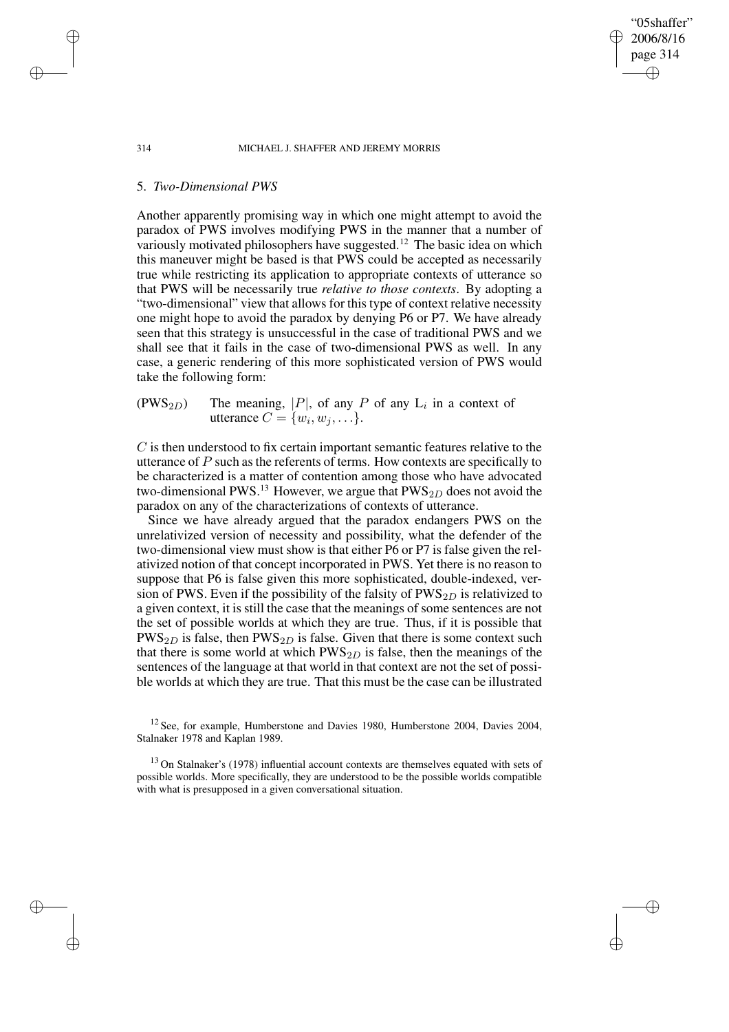#### 314 MICHAEL J. SHAFFER AND JEREMY MORRIS

"05shaffer" 2006/8/16 page 314

✐

✐

✐

✐

## 5. *Two-Dimensional PWS*

Another apparently promising way in which one might attempt to avoid the paradox of PWS involves modifying PWS in the manner that a number of variously motivated philosophers have suggested.<sup>12</sup> The basic idea on which this maneuver might be based is that PWS could be accepted as necessarily true while restricting its application to appropriate contexts of utterance so that PWS will be necessarily true *relative to those contexts*. By adopting a "two-dimensional" view that allows for this type of context relative necessity one might hope to avoid the paradox by denying P6 or P7. We have already seen that this strategy is unsuccessful in the case of traditional PWS and we shall see that it fails in the case of two-dimensional PWS as well. In any case, a generic rendering of this more sophisticated version of PWS would take the following form:

 $(PWS_{2D})$  The meaning, |P|, of any P of any L<sub>i</sub> in a context of utterance  $C = \{w_i, w_j, \ldots\}.$ 

C is then understood to fix certain important semantic features relative to the utterance of  $P$  such as the referents of terms. How contexts are specifically to be characterized is a matter of contention among those who have advocated two-dimensional PWS.<sup>13</sup> However, we argue that  $PWS_{2D}$  does not avoid the paradox on any of the characterizations of contexts of utterance.

Since we have already argued that the paradox endangers PWS on the unrelativized version of necessity and possibility, what the defender of the two-dimensional view must show is that either P6 or P7 is false given the relativized notion of that concept incorporated in PWS. Yet there is no reason to suppose that P6 is false given this more sophisticated, double-indexed, version of PWS. Even if the possibility of the falsity of  $PWS_{2D}$  is relativized to a given context, it is still the case that the meanings of some sentences are not the set of possible worlds at which they are true. Thus, if it is possible that  $PWS_{2D}$  is false, then  $PWS_{2D}$  is false. Given that there is some context such that there is some world at which  $PWS_{2D}$  is false, then the meanings of the sentences of the language at that world in that context are not the set of possible worlds at which they are true. That this must be the case can be illustrated

✐

✐

✐

 $12$  See, for example, Humberstone and Davies 1980, Humberstone 2004, Davies 2004, Stalnaker 1978 and Kaplan 1989.

<sup>&</sup>lt;sup>13</sup> On Stalnaker's (1978) influential account contexts are themselves equated with sets of possible worlds. More specifically, they are understood to be the possible worlds compatible with what is presupposed in a given conversational situation.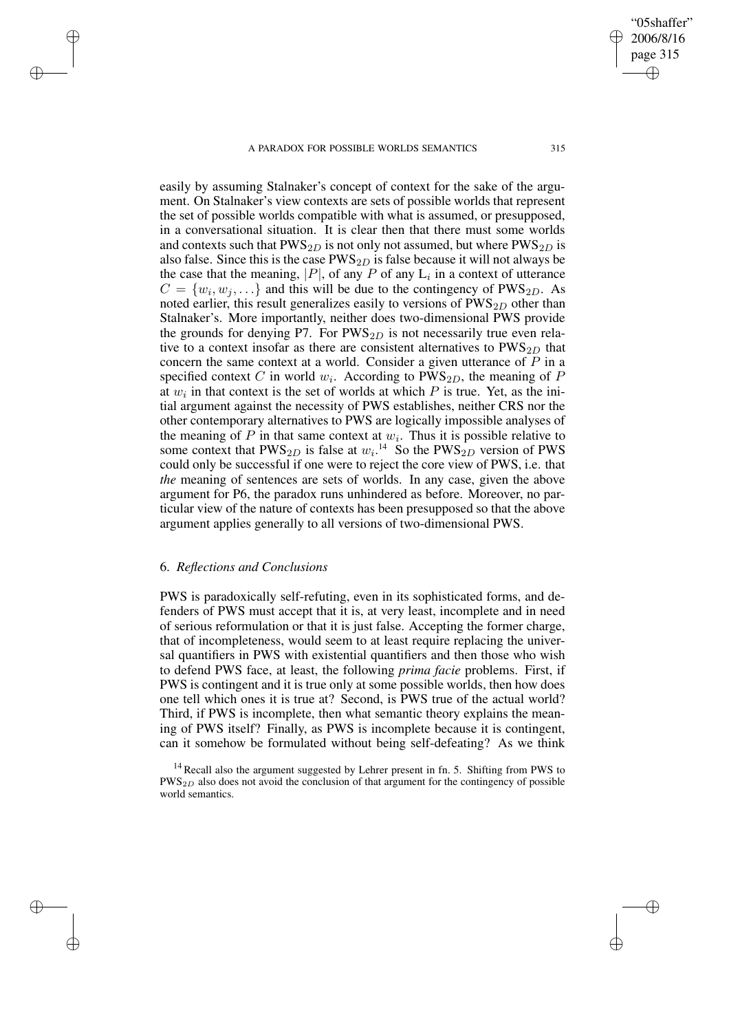easily by assuming Stalnaker's concept of context for the sake of the argument. On Stalnaker's view contexts are sets of possible worlds that represent the set of possible worlds compatible with what is assumed, or presupposed, in a conversational situation. It is clear then that there must some worlds and contexts such that  $PWS_{2D}$  is not only not assumed, but where  $PWS_{2D}$  is also false. Since this is the case  $PWS_{2D}$  is false because it will not always be the case that the meaning,  $|P|$ , of any  $P$  of any  $L_i$  in a context of utterance  $C = \{w_i, w_j, \ldots\}$  and this will be due to the contingency of PWS<sub>2D</sub>. As noted earlier, this result generalizes easily to versions of  $PWS_{2D}$  other than Stalnaker's. More importantly, neither does two-dimensional PWS provide the grounds for denying P7. For  $PWS_{2D}$  is not necessarily true even relative to a context insofar as there are consistent alternatives to  $PWS_{2D}$  that concern the same context at a world. Consider a given utterance of  $P$  in a specified context C in world  $w_i$ . According to PWS<sub>2D</sub>, the meaning of P at  $w_i$  in that context is the set of worlds at which P is true. Yet, as the initial argument against the necessity of PWS establishes, neither CRS nor the other contemporary alternatives to PWS are logically impossible analyses of the meaning of  $P$  in that same context at  $w_i$ . Thus it is possible relative to some context that  $PWS_{2D}$  is false at  $w_i$ <sup>14</sup> So the  $PWS_{2D}$  version of PWS could only be successful if one were to reject the core view of PWS, i.e. that *the* meaning of sentences are sets of worlds. In any case, given the above argument for P6, the paradox runs unhindered as before. Moreover, no particular view of the nature of contexts has been presupposed so that the above argument applies generally to all versions of two-dimensional PWS.

## 6. *Reflections and Conclusions*

✐

✐

✐

✐

PWS is paradoxically self-refuting, even in its sophisticated forms, and defenders of PWS must accept that it is, at very least, incomplete and in need of serious reformulation or that it is just false. Accepting the former charge, that of incompleteness, would seem to at least require replacing the universal quantifiers in PWS with existential quantifiers and then those who wish to defend PWS face, at least, the following *prima facie* problems. First, if PWS is contingent and it is true only at some possible worlds, then how does one tell which ones it is true at? Second, is PWS true of the actual world? Third, if PWS is incomplete, then what semantic theory explains the meaning of PWS itself? Finally, as PWS is incomplete because it is contingent, can it somehow be formulated without being self-defeating? As we think

"05shaffer" 2006/8/16 page 315

✐

✐

✐

<sup>&</sup>lt;sup>14</sup> Recall also the argument suggested by Lehrer present in fn. 5. Shifting from PWS to  $PWS_{2D}$  also does not avoid the conclusion of that argument for the contingency of possible world semantics.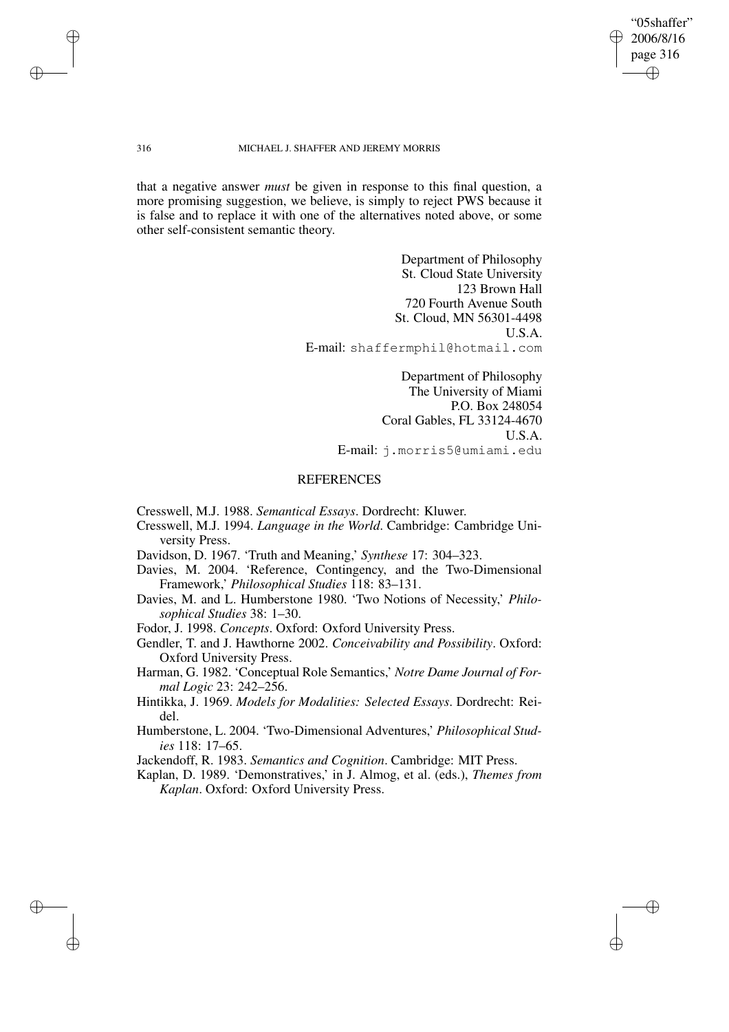"05shaffer" 2006/8/16 page 316 ✐ ✐

✐

✐

#### 316 MICHAEL J. SHAFFER AND JEREMY MORRIS

that a negative answer *must* be given in response to this final question, a more promising suggestion, we believe, is simply to reject PWS because it is false and to replace it with one of the alternatives noted above, or some other self-consistent semantic theory.

> Department of Philosophy St. Cloud State University 123 Brown Hall 720 Fourth Avenue South St. Cloud, MN 56301-4498 U.S.A. E-mail: shaffermphil@hotmail.com

> > Department of Philosophy The University of Miami P.O. Box 248054 Coral Gables, FL 33124-4670 U.S.A. E-mail: j.morris5@umiami.edu

# **REFERENCES**

Cresswell, M.J. 1988. *Semantical Essays*. Dordrecht: Kluwer.

- Cresswell, M.J. 1994. *Language in the World*. Cambridge: Cambridge University Press.
- Davidson, D. 1967. 'Truth and Meaning,' *Synthese* 17: 304–323.
- Davies, M. 2004. 'Reference, Contingency, and the Two-Dimensional Framework,' *Philosophical Studies* 118: 83–131.
- Davies, M. and L. Humberstone 1980. 'Two Notions of Necessity,' *Philosophical Studies* 38: 1–30.

Fodor, J. 1998. *Concepts*. Oxford: Oxford University Press.

- Gendler, T. and J. Hawthorne 2002. *Conceivability and Possibility*. Oxford: Oxford University Press.
- Harman, G. 1982. 'Conceptual Role Semantics,' *Notre Dame Journal of Formal Logic* 23: 242–256.
- Hintikka, J. 1969. *Models for Modalities: Selected Essays*. Dordrecht: Reidel.
- Humberstone, L. 2004. 'Two-Dimensional Adventures,' *Philosophical Studies* 118: 17–65.

Jackendoff, R. 1983. *Semantics and Cognition*. Cambridge: MIT Press.

Kaplan, D. 1989. 'Demonstratives,' in J. Almog, et al. (eds.), *Themes from Kaplan*. Oxford: Oxford University Press.

✐

✐

✐